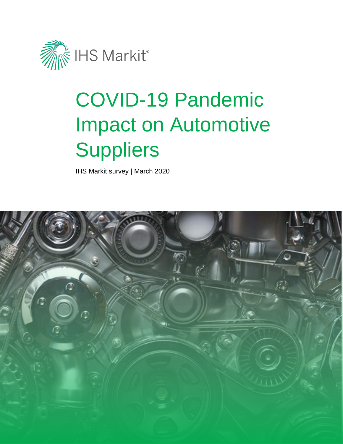

# COVID-19 Pandemic Impact on Automotive **Suppliers**

IHS Markit survey | March 2020

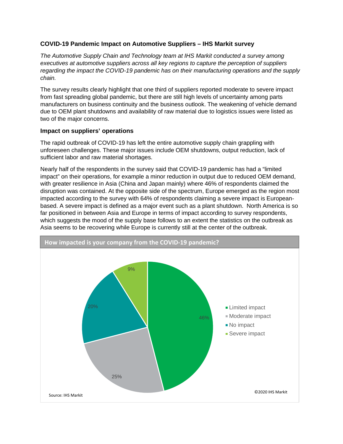## **COVID-19 Pandemic Impact on Automotive Suppliers – IHS Markit survey**

*The Automotive Supply Chain and Technology team at IHS Markit conducted a survey among executives at automotive suppliers across all key regions to capture the perception of suppliers regarding the impact the COVID-19 pandemic has on their manufacturing operations and the supply chain.* 

The survey results clearly highlight that one third of suppliers reported moderate to severe impact from fast spreading global pandemic, but there are still high levels of uncertainty among parts manufacturers on business continuity and the business outlook. The weakening of vehicle demand due to OEM plant shutdowns and availability of raw material due to logistics issues were listed as two of the major concerns.

### **Impact on suppliers' operations**

The rapid outbreak of COVID-19 has left the entire automotive supply chain grappling with unforeseen challenges. These major issues include OEM shutdowns, output reduction, lack of sufficient labor and raw material shortages.

Nearly half of the respondents in the survey said that COVID-19 pandemic has had a "limited impact" on their operations, for example a minor reduction in output due to reduced OEM demand, with greater resilience in Asia (China and Japan mainly) where 46% of respondents claimed the disruption was contained. At the opposite side of the spectrum, Europe emerged as the region most impacted according to the survey with 64% of respondents claiming a severe impact is Europeanbased. A severe impact is defined as a major event such as a plant shutdown. North America is so far positioned in between Asia and Europe in terms of impact according to survey respondents, which suggests the mood of the supply base follows to an extent the statistics on the outbreak as Asia seems to be recovering while Europe is currently still at the center of the outbreak.

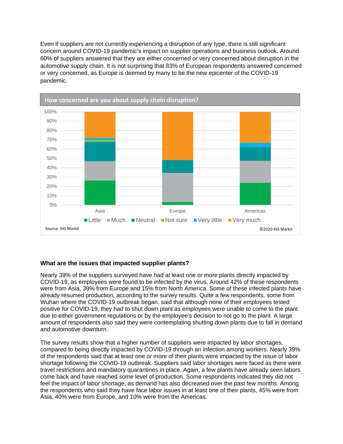Even if suppliers are not currently experiencing a disruption of any type, there is still significant concern around COVID-19 pandemic's impact on supplier operations and business outlook. Around 60% of suppliers answered that they are either concerned or very concerned about disruption in the automotive supply chain. It is not surprising that 83% of European respondents answered concerned or very concerned, as Europe is deemed by many to be the new epicenter of the COVID-19 pandemic.



## **What are the issues that impacted supplier plants?**

Nearly 39% of the suppliers surveyed have had at least one or more plants directly impacted by COVID-19, as employees were found to be infected by the virus. Around 42% of these respondents were from Asia, 39% from Europe and 15% from North America. Some of these infected plants have already resumed production, according to the survey results. Quite a few respondents, some from Wuhan where the COVID-19 outbreak began, said that although none of their employees tested positive for COVID-19, they had to shut down plant as employees were unable to come to the plant due to either government regulations or by the employee's decision to not go to the plant. A large amount of respondents also said they were contemplating shutting down plants due to fall in demand and automotive downturn.

The survey results show that a higher number of suppliers were impacted by labor shortages, compared to being directly impacted by COVID-19 through an infection among workers. Nearly 39% of the respondents said that at least one or more of their plants were impacted by the issue of labor shortage following the COVID-19 outbreak. Suppliers said labor shortages were faced as there were travel restrictions and mandatory quarantines in place. Again, a few plants have already seen labors come back and have reached some level of production. Some respondents indicated they did not feel the impact of labor shortage, as demand has also decreased over the past few months. Among the respondents who said they have face labor issues in at least one of their plants, 45% were from Asia, 40% were from Europe, and 10% were from the Americas.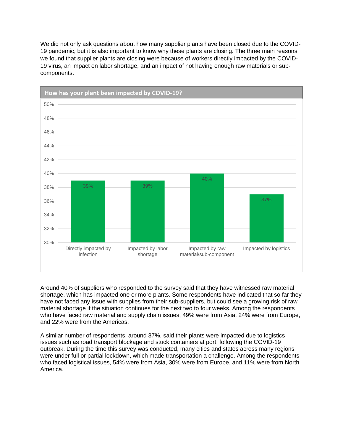We did not only ask questions about how many supplier plants have been closed due to the COVID-19 pandemic, but it is also important to know why these plants are closing. The three main reasons we found that supplier plants are closing were because of workers directly impacted by the COVID-19 virus, an impact on labor shortage, and an impact of not having enough raw materials or subcomponents.



Around 40% of suppliers who responded to the survey said that they have witnessed raw material shortage, which has impacted one or more plants. Some respondents have indicated that so far they have not faced any issue with supplies from their sub-suppliers, but could see a growing risk of raw material shortage if the situation continues for the next two to four weeks. Among the respondents who have faced raw material and supply chain issues, 49% were from Asia, 24% were from Europe, and 22% were from the Americas.

A similar number of respondents, around 37%, said their plants were impacted due to logistics issues such as road transport blockage and stuck containers at port, following the COVID-19 outbreak. During the time this survey was conducted, many cities and states across many regions were under full or partial lockdown, which made transportation a challenge. Among the respondents who faced logistical issues, 54% were from Asia, 30% were from Europe, and 11% were from North America.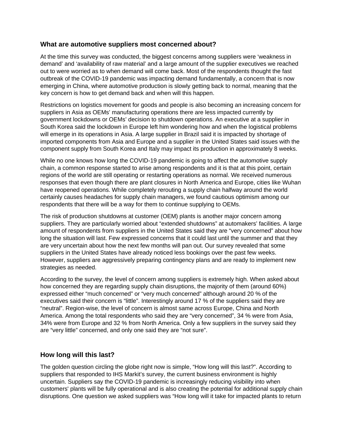# **What are automotive suppliers most concerned about?**

At the time this survey was conducted, the biggest concerns among suppliers were 'weakness in demand' and 'availability of raw material' and a large amount of the supplier executives we reached out to were worried as to when demand will come back. Most of the respondents thought the fast outbreak of the COVID-19 pandemic was impacting demand fundamentally, a concern that is now emerging in China, where automotive production is slowly getting back to normal, meaning that the key concern is how to get demand back and when will this happen.

Restrictions on logistics movement for goods and people is also becoming an increasing concern for suppliers in Asia as OEMs' manufacturing operations there are less impacted currently by government lockdowns or OEMs' decision to shutdown operations. An executive at a supplier in South Korea said the lockdown in Europe left him wondering how and when the logistical problems will emerge in its operations in Asia. A large supplier in Brazil said it is impacted by shortage of imported components from Asia and Europe and a supplier in the United States said issues with the component supply from South Korea and Italy may impact its production in approximately 8 weeks.

While no one knows how long the COVID-19 pandemic is going to affect the automotive supply chain, a common response started to arise among respondents and it is that at this point, certain regions of the world are still operating or restarting operations as normal. We received numerous responses that even though there are plant closures in North America and Europe, cities like Wuhan have reopened operations. While completely rerouting a supply chain halfway around the world certainly causes headaches for supply chain managers, we found cautious optimism among our respondents that there will be a way for them to continue supplying to OEMs.

The risk of production shutdowns at customer (OEM) plants is another major concern among suppliers. They are particularly worried about "extended shutdowns" at automakers' facilities. A large amount of respondents from suppliers in the United States said they are "very concerned" about how long the situation will last. Few expressed concerns that it could last until the summer and that they are very uncertain about how the next few months will pan out. Our survey revealed that some suppliers in the United States have already noticed less bookings over the past few weeks. However, suppliers are aggressively preparing contingency plans and are ready to implement new strategies as needed.

According to the survey, the level of concern among suppliers is extremely high. When asked about how concerned they are regarding supply chain disruptions, the majority of them (around 60%) expressed either "much concerned" or "very much concerned" although around 20 % of the executives said their concern is "little". Interestingly around 17 % of the suppliers said they are "neutral". Region-wise, the level of concern is almost same across Europe, China and North America. Among the total respondents who said they are "very concerned", 34 % were from Asia, 34% were from Europe and 32 % from North America. Only a few suppliers in the survey said they are "very little" concerned, and only one said they are "not sure".

## **How long will this last?**

The golden question circling the globe right now is simple, "How long will this last?". According to suppliers that responded to IHS Markit's survey, the current business environment is highly uncertain. Suppliers say the COVID-19 pandemic is increasingly reducing visibility into when customers' plants will be fully operational and is also creating the potential for additional supply chain disruptions. One question we asked suppliers was "How long will it take for impacted plants to return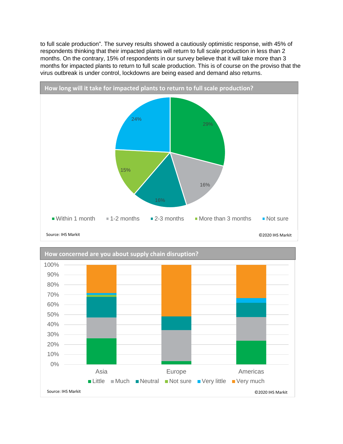to full scale production". The survey results showed a cautiously optimistic response, with 45% of respondents thinking that their impacted plants will return to full scale production in less than 2 months. On the contrary, 15% of respondents in our survey believe that it will take more than 3 months for impacted plants to return to full scale production. This is of course on the proviso that the virus outbreak is under control, lockdowns are being eased and demand also returns.



Source: IHS Markit ©2020 IHS Markit